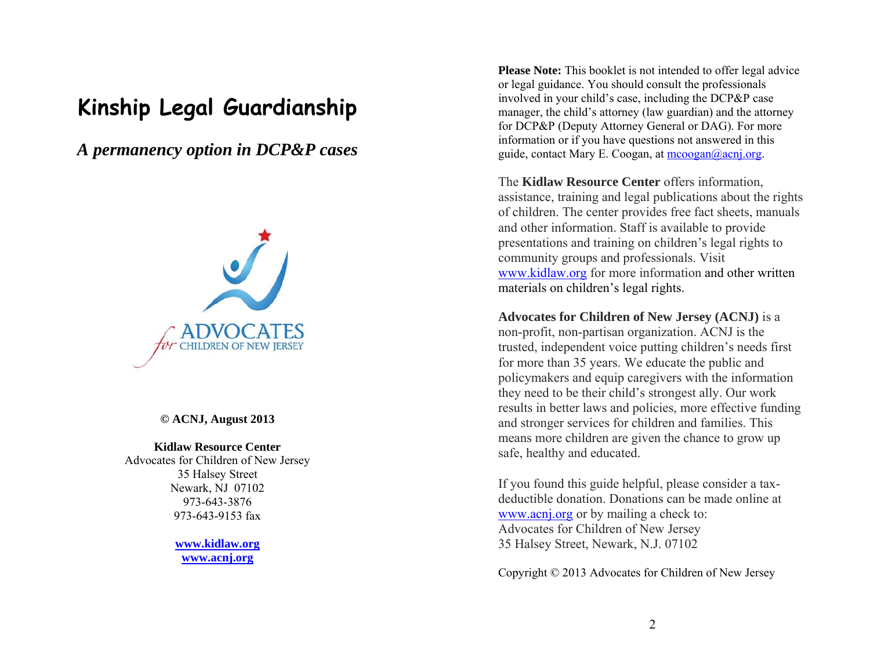# **Kinship Legal Guardianship**

*A permanency option in DCP&P cases* 



**© ACNJ, August 2013** 

#### **Kidlaw Resource Center**

Advocates for Children of New Jersey 35 Halsey Street Newark, NJ 07102 973-643-3876 973-643-9153 fax

> **www.kidlaw.org www.acnj.org**

**Please Note:** This booklet is not intended to offer legal advice or legal guidance. You should consult the professionals involved in your child's case, including the DCP&P case manager, the child's attorney (law guardian) and the attorney for DCP&P (Deputy Attorney General or DAG). For more information or if you have questions not answered in this guide, contact Mary E. Coogan, at  $m$ coogan $@a$ conj.org.

The **Kidlaw Resource Center** offers information, assistance, training and legal publications about the rights of children. The center provides free fact sheets, manuals and other information. Staff is available to provide presentations and training on children's legal rights to community groups and professionals. Visit www.kidlaw.org for more information and other written materials on children's legal rights.

**Advocates for Children of New Jersey (ACNJ)** is a non-profit, non-partisan organization. ACNJ is the trusted, independent voice putting children's needs first for more than 35 years. We educate the public and policymakers and equip caregivers with the information they need to be their child's strongest ally. Our work results in better laws and policies, more effective funding and stronger services for children and families. This means more children are given the chance to grow up safe, healthy and educated.

If you found this guide helpful, please consider a taxdeductible donation. Donations can be made online at www.acnj.org or by mailing a check to: Advocates for Children of New Jersey 35 Halsey Street, Newark, N.J. 07102

Copyright © 2013 Advocates for Children of New Jersey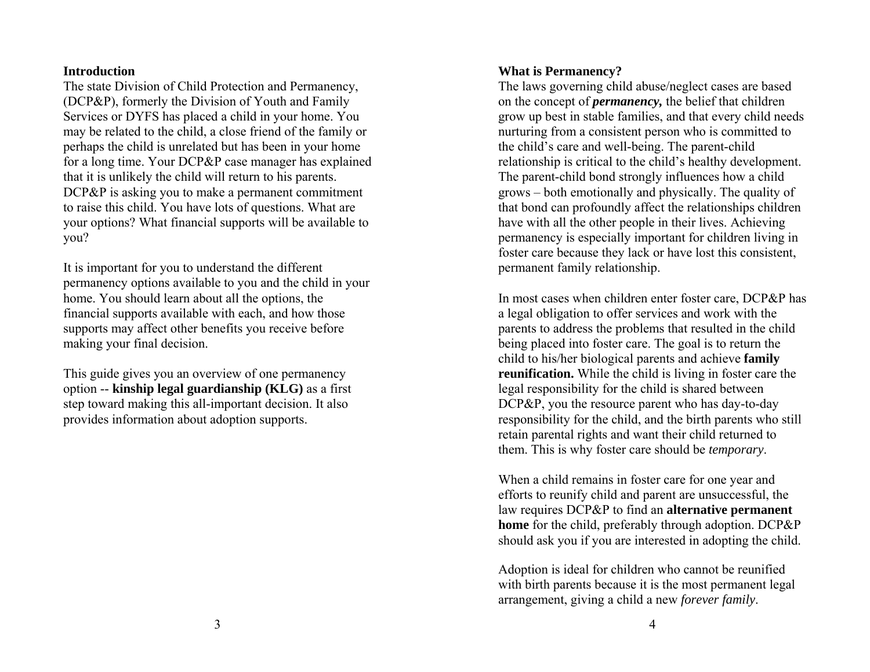### **Introduction**

The state Division of Child Protection and Permanency, (DCP&P), formerly the Division of Youth and Family Services or DYFS has placed a child in your home. You may be related to the child, a close friend of the family or perhaps the child is unrelated but has been in your home for a long time. Your DCP&P case manager has explained that it is unlikely the child will return to his parents. DCP&P is asking you to make a permanent commitment to raise this child. You have lots of questions. What are your options? What financial supports will be available to you?

It is important for you to understand the different permanency options available to you and the child in your home. You should learn about all the options, the financial supports available with each, and how those supports may affect other benefits you receive before making your final decision.

This guide gives you an overview of one permanency option -- **kinship legal guardianship (KLG)** as a first step toward making this all-important decision. It also provides information about adoption supports.

## **What is Permanency?**

The laws governing child abuse/neglect cases are based on the concept of *permanency,* the belief that children grow up best in stable families, and that every child needs nurturing from a consistent person who is committed to the child's care and well-being. The parent-child relationship is critical to the child's healthy development. The parent-child bond strongly influences how a child grows – both emotionally and physically. The quality of that bond can profoundly affect the relationships children have with all the other people in their lives. Achieving permanency is especially important for children living in foster care because they lack or have lost this consistent, permanent family relationship.

In most cases when children enter foster care, DCP&P has a legal obligation to offer services and work with the parents to address the problems that resulted in the child being placed into foster care. The goal is to return the child to his/her biological parents and achieve **family reunification.** While the child is living in foster care the legal responsibility for the child is shared between DCP&P, you the resource parent who has day-to-day responsibility for the child, and the birth parents who still retain parental rights and want their child returned to them. This is why foster care should be *temporary*.

When a child remains in foster care for one year and efforts to reunify child and parent are unsuccessful, the law requires DCP&P to find an **alternative permanent home** for the child, preferably through adoption. DCP&P should ask you if you are interested in adopting the child.

Adoption is ideal for children who cannot be reunified with birth parents because it is the most permanent legal arrangement, giving a child a new *forever family*.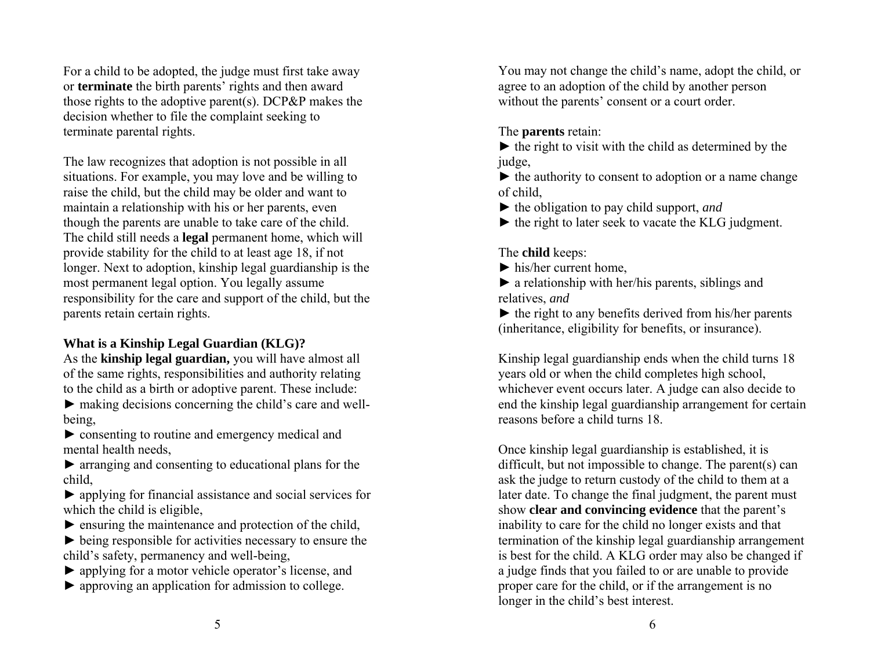For a child to be adopted, the judge must first take away or **terminate** the birth parents' rights and then award those rights to the adoptive parent(s). DCP&P makes the decision whether to file the complaint seeking to terminate parental rights.

The law recognizes that adoption is not possible in all situations. For example, you may love and be willing to raise the child, but the child may be older and want to maintain a relationship with his or her parents, even though the parents are unable to take care of the child. The child still needs a **legal** permanent home, which will provide stability for the child to at least age 18, if not longer. Next to adoption, kinship legal guardianship is the most permanent legal option. You legally assume responsibility for the care and support of the child, but the parents retain certain rights.

# **What is a Kinship Legal Guardian (KLG)?**

As the **kinship legal guardian,** you will have almost all of the same rights, responsibilities and authority relating to the child as a birth or adoptive parent. These include:

 $\blacktriangleright$  making decisions concerning the child's care and wellbeing,

► consenting to routine and emergency medical and mental health needs,

 $\triangleright$  arranging and consenting to educational plans for the child,

► applying for financial assistance and social services for which the child is eligible,

 $\blacktriangleright$  ensuring the maintenance and protection of the child,

 $\triangleright$  being responsible for activities necessary to ensure the child's safety, permanency and well-being,

► applying for a motor vehicle operator's license, and

► approving an application for admission to college.

You may not change the child's name, adopt the child, or agree to an adoption of the child by another person without the parents' consent or a court order.

The **parents** retain:

 $\triangleright$  the right to visit with the child as determined by the judge,

 $\blacktriangleright$  the authority to consent to adoption or a name change of child,

- ► the obligation to pay child support, *and*
- $\blacktriangleright$  the right to later seek to vacate the KLG judgment.

# The **child** keeps:

 $\blacktriangleright$  his/her current home,

 $\blacktriangleright$  a relationship with her/his parents, siblings and relatives, *and*

 $\blacktriangleright$  the right to any benefits derived from his/her parents (inheritance, eligibility for benefits, or insurance).

Kinship legal guardianship ends when the child turns 18 years old or when the child completes high school, whichever event occurs later. A judge can also decide to end the kinship legal guardianship arrangement for certain reasons before a child turns 18.

Once kinship legal guardianship is established, it is difficult, but not impossible to change. The parent(s) can ask the judge to return custody of the child to them at a later date. To change the final judgment, the parent must show **clear and convincing evidence** that the parent's inability to care for the child no longer exists and that termination of the kinship legal guardianship arrangement is best for the child. A KLG order may also be changed if a judge finds that you failed to or are unable to provide proper care for the child, or if the arrangement is no longer in the child's best interest.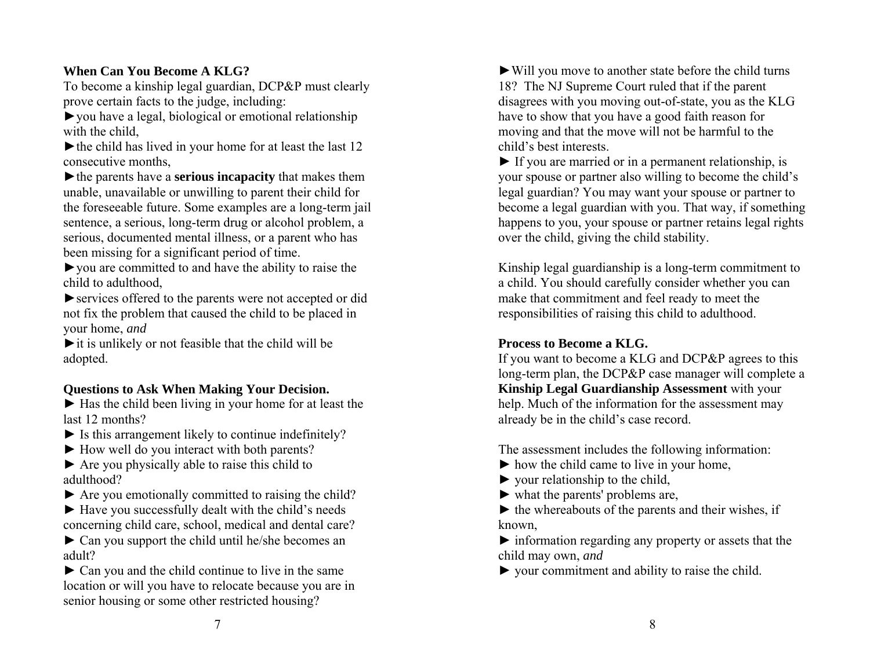# **When Can You Become A KLG?**

To become a kinship legal guardian, DCP&P must clearly prove certain facts to the judge, including:

►you have a legal, biological or emotional relationship with the child,

 $\blacktriangleright$  the child has lived in your home for at least the last 12 consecutive months,

►the parents have <sup>a</sup> **serious incapacity** that makes them unable, unavailable or unwilling to parent their child for the foreseeable future. Some examples are a long-term jail sentence, a serious, long-term drug or alcohol problem, a serious, documented mental illness, or a parent who has been missing for a significant period of time.

►you are committed to and have the ability to raise the child to adulthood,

►services offered to the parents were not accepted or did not fix the problem that caused the child to be placed in your home, *and*

 $\triangleright$  it is unlikely or not feasible that the child will be adopted.

## **Questions to Ask When Making Your Decision.**

► Has the child been living in your home for at least the last 12 months?

- $\blacktriangleright$  Is this arrangement likely to continue indefinitely?
- ► How well do you interact with both parents?

► Are you physically able to raise this child to adulthood?

 $\triangleright$  Are you emotionally committed to raising the child?

► Have you successfully dealt with the child's needs concerning child care, school, medical and dental care?

► Can you support the child until he/she becomes an adult?

► Can you and the child continue to live in the same location or will you have to relocate because you are in senior housing or some other restricted housing?

►Will you move to another state before the child turns 18? The NJ Supreme Court ruled that if the parent disagrees with you moving out-of-state, you as the KLG have to show that you have a good faith reason for moving and that the move will not be harmful to the child's best interests.

 $\blacktriangleright$  If you are married or in a permanent relationship, is your spouse or partner also willing to become the child's legal guardian? You may want your spouse or partner to become a legal guardian with you. That way, if something happens to you, your spouse or partner retains legal rights over the child, giving the child stability.

Kinship legal guardianship is a long-term commitment to a child. You should carefully consider whether you can make that commitment and feel ready to meet the responsibilities of raising this child to adulthood.

## **Process to Become a KLG.**

If you want to become a KLG and DCP&P agrees to this long-term plan, the DCP&P case manager will complete a **Kinship Legal Guardianship Assessment** with your help. Much of the information for the assessment may already be in the child's case record.

The assessment includes the following information:

- $\blacktriangleright$  how the child came to live in your home,
- $\triangleright$  your relationship to the child,
- $\blacktriangleright$  what the parents' problems are,

 $\triangleright$  the whereabouts of the parents and their wishes, if known,

 $\triangleright$  information regarding any property or assets that the child may own, *and*

► your commitment and ability to raise the child.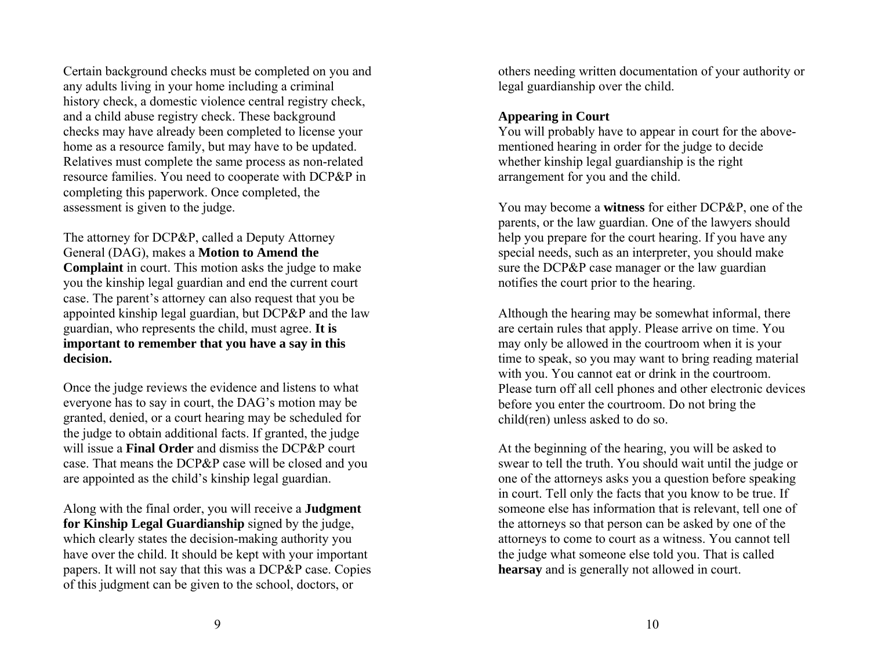Certain background checks must be completed on you and any adults living in your home including a criminal history check, a domestic violence central registry check, and a child abuse registry check. These background checks may have already been completed to license your home as a resource family, but may have to be updated. Relatives must complete the same process as non-related resource families. You need to cooperate with DCP&P in completing this paperwork. Once completed, the assessment is given to the judge.

The attorney for DCP&P, called a Deputy Attorney General (DAG), makes a **Motion to Amend the Complaint** in court. This motion asks the judge to make you the kinship legal guardian and end the current court case. The parent's attorney can also request that you be appointed kinship legal guardian, but DCP&P and the law guardian, who represents the child, must agree. **It is important to remember that you have a say in this decision.** 

Once the judge reviews the evidence and listens to what everyone has to say in court, the DAG's motion may be granted, denied, or a court hearing may be scheduled for the judge to obtain additional facts. If granted, the judge will issue a **Final Order** and dismiss the DCP&P court case. That means the DCP&P case will be closed and you are appointed as the child's kinship legal guardian.

Along with the final order, you will receive a **Judgment for Kinship Legal Guardianship** signed by the judge, which clearly states the decision-making authority you have over the child. It should be kept with your important papers. It will not say that this was a DCP&P case. Copies of this judgment can be given to the school, doctors, or

others needing written documentation of your authority or legal guardianship over the child.

### **Appearing in Court**

You will probably have to appear in court for the abovementioned hearing in order for the judge to decide whether kinship legal guardianship is the right arrangement for you and the child.

You may become a **witness** for either DCP&P, one of the parents, or the law guardian. One of the lawyers should help you prepare for the court hearing. If you have any special needs, such as an interpreter, you should make sure the DCP&P case manager or the law guardian notifies the court prior to the hearing.

Although the hearing may be somewhat informal, there are certain rules that apply. Please arrive on time. You may only be allowed in the courtroom when it is your time to speak, so you may want to bring reading material with you. You cannot eat or drink in the courtroom. Please turn off all cell phones and other electronic devices before you enter the courtroom. Do not bring the child(ren) unless asked to do so.

At the beginning of the hearing, you will be asked to swear to tell the truth. You should wait until the judge or one of the attorneys asks you a question before speaking in court. Tell only the facts that you know to be true. If someone else has information that is relevant, tell one of the attorneys so that person can be asked by one of the attorneys to come to court as a witness. You cannot tell the judge what someone else told you. That is called **hearsay** and is generally not allowed in court.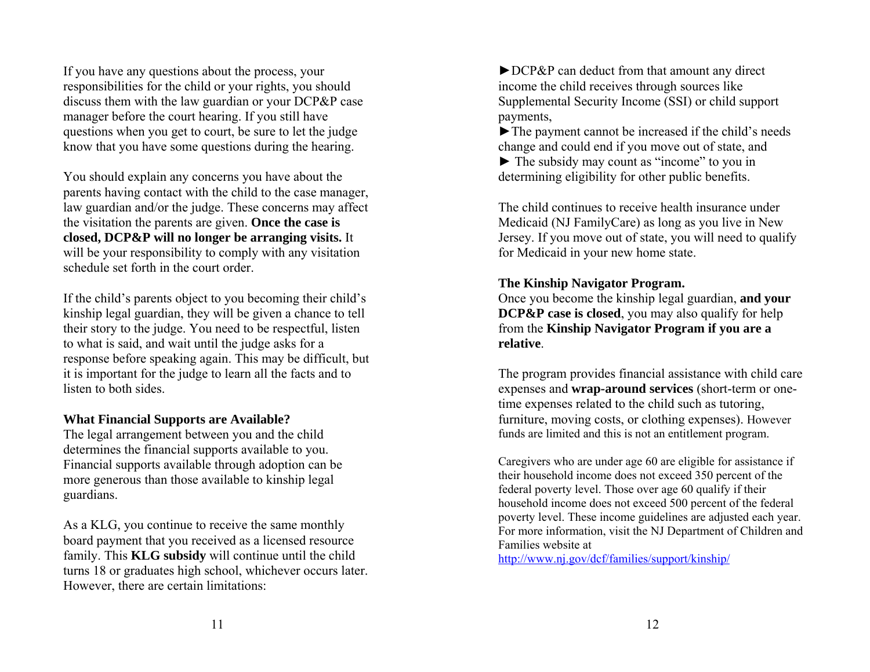If you have any questions about the process, your responsibilities for the child or your rights, you should discuss them with the law guardian or your DCP&P case manager before the court hearing. If you still have questions when you get to court, be sure to let the judge know that you have some questions during the hearing.

You should explain any concerns you have about the parents having contact with the child to the case manager, law guardian and/or the judge. These concerns may affect the visitation the parents are given. **Once the case is closed, DCP&P will no longer be arranging visits.** It will be your responsibility to comply with any visitation schedule set forth in the court order.

If the child's parents object to you becoming their child's kinship legal guardian, they will be given a chance to tell their story to the judge. You need to be respectful, listen to what is said, and wait until the judge asks for a response before speaking again. This may be difficult, but it is important for the judge to learn all the facts and to listen to both sides.

## **What Financial Supports are Available?**

The legal arrangement between you and the child determines the financial supports available to you. Financial supports available through adoption can be more generous than those available to kinship legal guardians.

As a KLG, you continue to receive the same monthly board payment that you received as a licensed resource family. This **KLG subsidy** will continue until the child turns 18 or graduates high school, whichever occurs later. However, there are certain limitations:

►DCP&P can deduct from that amount any direct income the child receives through sources like Supplemental Security Income (SSI) or child support payments,

►The payment cannot be increased if the child's needs change and could end if you move out of state, and

► The subsidy may count as "income" to you in determining eligibility for other public benefits.

The child continues to receive health insurance under Medicaid (NJ FamilyCare) as long as you live in New Jersey. If you move out of state, you will need to qualify for Medicaid in your new home state.

## **The Kinship Navigator Program.**

Once you become the kinship legal guardian, **and your DCP&P case is closed**, you may also qualify for help from the **Kinship Navigator Program if you are <sup>a</sup> relative**.

The program provides financial assistance with child care expenses and **wrap-around services** (short-term or onetime expenses related to the child such as tutoring, furniture, moving costs, or clothing expenses). However funds are limited and this is not an entitlement program.

Caregivers who are under age 60 are eligible for assistance if their household income does not exceed 350 percent of the federal poverty level. Those over age 60 qualify if their household income does not exceed 500 percent of the federal poverty level. These income guidelines are adjusted each year. For more information, visit the NJ Department of Children and Families website at

http://www.nj.gov/dcf/families/support/kinship/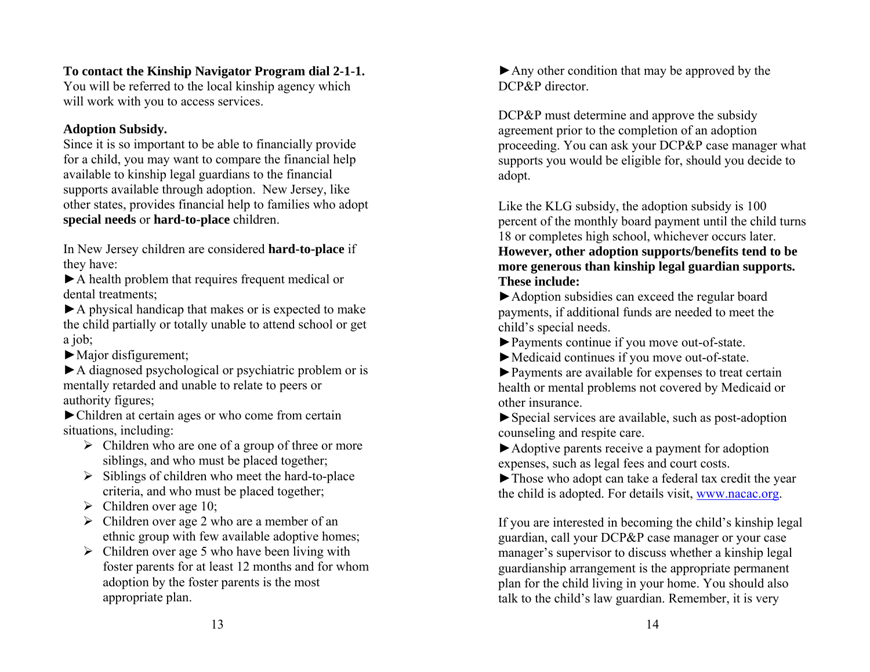# **To contact the Kinship Navigator Program dial 2-1-1.**

You will be referred to the local kinship agency which will work with you to access services.

## **Adoption Subsidy.**

Since it is so important to be able to financially provide for a child, you may want to compare the financial help available to kinship legal guardians to the financial supports available through adoption. New Jersey, like other states, provides financial help to families who adopt **special needs** or **hard-to-place** children.

In New Jersey children are considered **hard-to-place** if they have:

►A health problem that requires frequent medical or dental treatments;

►A physical handicap that makes or is expected to make the child partially or totally unable to attend school or get a job;

►Major disfigurement;

►A diagnosed psychological or psychiatric problem or is mentally retarded and unable to relate to peers or authority figures;

►Children at certain ages or who come from certain situations, including:

- $\triangleright$  Children who are one of a group of three or more siblings, and who must be placed together;
- $\triangleright$  Siblings of children who meet the hard-to-place criteria, and who must be placed together;
- $\triangleright$  Children over age 10;
- $\triangleright$  Children over age 2 who are a member of an ethnic group with few available adoptive homes;
- $\triangleright$  Children over age 5 who have been living with foster parents for at least 12 months and for whom adoption by the foster parents is the most appropriate plan.

►Any other condition that may be approved by the DCP&P director

DCP&P must determine and approve the subsidy agreement prior to the completion of an adoption proceeding. You can ask your DCP&P case manager what supports you would be eligible for, should you decide to adopt.

Like the KLG subsidy, the adoption subsidy is 100 percent of the monthly board payment until the child turns 18 or completes high school, whichever occurs later. **However, other adoption supports/benefits tend to be more generous than kinship legal guardian supports.** 

# **These include:**

►Adoption subsidies can exceed the regular board payments, if additional funds are needed to meet the child's special needs.

►Payments continue if you move out-of-state.

- ►Medicaid continues if you move out-of-state.
- ►Payments are available for expenses to treat certain health or mental problems not covered by Medicaid or other insurance.

►Special services are available, such as post-adoption counseling and respite care.

►Adoptive parents receive a payment for adoption expenses, such as legal fees and court costs.

►Those who adopt can take a federal tax credit the year the child is adopted. For details visit, www.nacac.org.

If you are interested in becoming the child's kinship legal guardian, call your DCP&P case manager or your case manager's supervisor to discuss whether a kinship legal guardianship arrangement is the appropriate permanent plan for the child living in your home. You should also talk to the child's law guardian. Remember, it is very